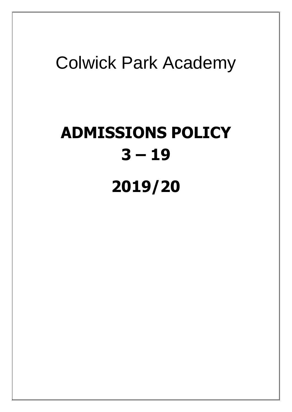# Colwick Park Academy

# **ADMISSIONS POLICY 3 – 19 2019/20**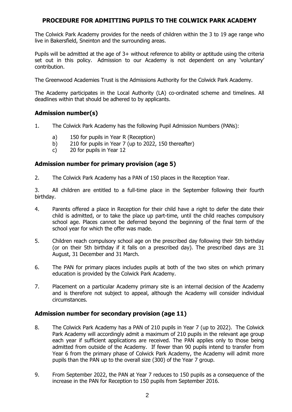# **PROCEDURE FOR ADMITTING PUPILS TO THE COLWICK PARK ACADEMY**

The Colwick Park Academy provides for the needs of children within the 3 to 19 age range who live in Bakersfield, Sneinton and the surrounding areas.

Pupils will be admitted at the age of 3+ without reference to ability or aptitude using the criteria set out in this policy. Admission to our Academy is not dependent on any 'voluntary' contribution.

The Greenwood Academies Trust is the Admissions Authority for the Colwick Park Academy.

The Academy participates in the Local Authority (LA) co-ordinated scheme and timelines. All deadlines within that should be adhered to by applicants.

# **Admission number(s)**

- 1. The Colwick Park Academy has the following Pupil Admission Numbers (PANs):
	- a) 150 for pupils in Year R (Reception)
	- b) 210 for pupils in Year 7 (up to 2022, 150 thereafter)
	- c) 20 for pupils in Year 12

# **Admission number for primary provision (age 5)**

2. The Colwick Park Academy has a PAN of 150 places in the Reception Year.

3. All children are entitled to a full-time place in the September following their fourth birthday.

- 4. Parents offered a place in Reception for their child have a right to defer the date their child is admitted, or to take the place up part-time, until the child reaches compulsory school age. Places cannot be deferred beyond the beginning of the final term of the school year for which the offer was made.
- 5. Children reach compulsory school age on the prescribed day following their 5th birthday (or on their 5th birthday if it falls on a prescribed day). The prescribed days are 31 August, 31 December and 31 March.
- 6. The PAN for primary places includes pupils at both of the two sites on which primary education is provided by the Colwick Park Academy.
- 7. Placement on a particular Academy primary site is an internal decision of the Academy and is therefore not subject to appeal, although the Academy will consider individual circumstances.

#### **Admission number for secondary provision (age 11)**

- 8. The Colwick Park Academy has a PAN of 210 pupils in Year 7 (up to 2022). The Colwick Park Academy will accordingly admit a maximum of 210 pupils in the relevant age group each year if sufficient applications are received. The PAN applies only to those being admitted from outside of the Academy. If fewer than 90 pupils intend to transfer from Year 6 from the primary phase of Colwick Park Academy, the Academy will admit more pupils than the PAN up to the overall size (300) of the Year 7 group.
- 9. From September 2022, the PAN at Year 7 reduces to 150 pupils as a consequence of the increase in the PAN for Reception to 150 pupils from September 2016.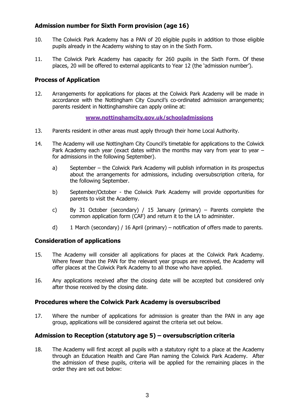# **Admission number for Sixth Form provision (age 16)**

- 10. The Colwick Park Academy has a PAN of 20 eligible pupils in addition to those eligible pupils already in the Academy wishing to stay on in the Sixth Form.
- 11. The Colwick Park Academy has capacity for 260 pupils in the Sixth Form. Of these places, 20 will be offered to external applicants to Year 12 (the 'admission number').

# **Process of Application**

12. Arrangements for applications for places at the Colwick Park Academy will be made in accordance with the Nottingham City Council's co-ordinated admission arrangements; parents resident in Nottinghamshire can apply online at:

#### **[www.nottinghamcity.gov.uk/schooladmissions](http://www.nottinghamcity.gov.uk/schooladmissions)**

- 13. Parents resident in other areas must apply through their home Local Authority.
- 14. The Academy will use Nottingham City Council's timetable for applications to the Colwick Park Academy each year (exact dates within the months may vary from year to year  $$ for admissions in the following September).
	- a) September the Colwick Park Academy will publish information in its prospectus about the arrangements for admissions, including oversubscription criteria, for the following September.
	- b) September/October the Colwick Park Academy will provide opportunities for parents to visit the Academy.
	- c) By 31 October (secondary) / 15 January (primary) Parents complete the common application form (CAF) and return it to the LA to administer.
	- d) 1 March (secondary) / 16 April (primary) notification of offers made to parents.

# **Consideration of applications**

- 15. The Academy will consider all applications for places at the Colwick Park Academy. Where fewer than the PAN for the relevant year groups are received, the Academy will offer places at the Colwick Park Academy to all those who have applied.
- 16. Any applications received after the closing date will be accepted but considered only after those received by the closing date.

# **Procedures where the Colwick Park Academy is oversubscribed**

17. Where the number of applications for admission is greater than the PAN in any age group, applications will be considered against the criteria set out below.

# **Admission to Reception (statutory age 5) – oversubscription criteria**

18. The Academy will first accept all pupils with a statutory right to a place at the Academy through an Education Health and Care Plan naming the Colwick Park Academy. After the admission of these pupils, criteria will be applied for the remaining places in the order they are set out below: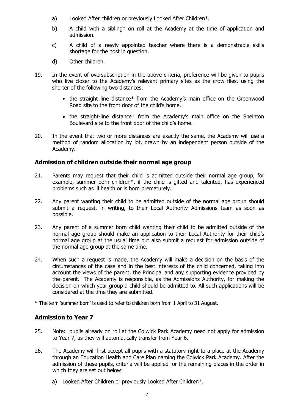- a) Looked After children or previously Looked After Children\*.
- b) A child with a sibling\* on roll at the Academy at the time of application and admission.
- c) A child of a newly appointed teacher where there is a demonstrable skills shortage for the post in question.
- d) Other children.
- 19. In the event of oversubscription in the above criteria, preference will be given to pupils who live closer to the Academy's relevant primary sites as the crow flies, using the shorter of the following two distances:
	- the straight line distance\* from the Academy's main office on the Greenwood Road site to the front door of the child's home.
	- the straight-line distance\* from the Academy's main office on the Sneinton Boulevard site to the front door of the child's home.
- 20. In the event that two or more distances are exactly the same, the Academy will use a method of random allocation by lot, drawn by an independent person outside of the Academy.

#### **Admission of children outside their normal age group**

- 21. Parents may request that their child is admitted outside their normal age group, for example, summer born children\*, if the child is gifted and talented, has experienced problems such as ill health or is born prematurely.
- 22. Any parent wanting their child to be admitted outside of the normal age group should submit a request, in writing, to their Local Authority Admissions team as soon as possible.
- 23. Any parent of a summer born child wanting their child to be admitted outside of the normal age group should make an application to their Local Authority for their child's normal age group at the usual time but also submit a request for admission outside of the normal age group at the same time.
- 24. When such a request is made, the Academy will make a decision on the basis of the circumstances of the case and in the best interests of the child concerned, taking into account the views of the parent, the Principal and any supporting evidence provided by the parent. The Academy is responsible, as the Admissions Authority, for making the decision on which year group a child should be admitted to. All such applications will be considered at the time they are submitted.

\* The term 'summer born' is used to refer to children born from 1 April to 31 August.

# **Admission to Year 7**

- 25. Note: pupils already on roll at the Colwick Park Academy need not apply for admission to Year 7, as they will automatically transfer from Year 6.
- 26. The Academy will first accept all pupils with a statutory right to a place at the Academy through an Education Health and Care Plan naming the Colwick Park Academy. After the admission of these pupils, criteria will be applied for the remaining places in the order in which they are set out below:
	- a) Looked After Children or previously Looked After Children\*.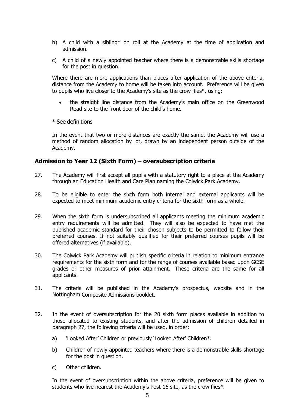- b) A child with a sibling\* on roll at the Academy at the time of application and admission.
- c) A child of a newly appointed teacher where there is a demonstrable skills shortage for the post in question.

Where there are more applications than places after application of the above criteria, distance from the Academy to home will be taken into account. Preference will be given to pupils who live closer to the Academy's site as the crow flies\*, using:

- the straight line distance from the Academy's main office on the Greenwood Road site to the front door of the child's home.
- \* See definitions

In the event that two or more distances are exactly the same, the Academy will use a method of random allocation by lot, drawn by an independent person outside of the Academy.

#### **Admission to Year 12 (Sixth Form) – oversubscription criteria**

- 27. The Academy will first accept all pupils with a statutory right to a place at the Academy through an Education Health and Care Plan naming the Colwick Park Academy.
- 28. To be eligible to enter the sixth form both internal and external applicants will be expected to meet minimum academic entry criteria for the sixth form as a whole.
- 29. When the sixth form is undersubscribed all applicants meeting the minimum academic entry requirements will be admitted. They will also be expected to have met the published academic standard for their chosen subjects to be permitted to follow their preferred courses. If not suitably qualified for their preferred courses pupils will be offered alternatives (if available).
- 30. The Colwick Park Academy will publish specific criteria in relation to minimum entrance requirements for the sixth form and for the range of courses available based upon GCSE grades or other measures of prior attainment. These criteria are the same for all applicants.
- 31. The criteria will be published in the Academy's prospectus, website and in the Nottingham Composite Admissions booklet.
- 32. In the event of oversubscription for the 20 sixth form places available in addition to those allocated to existing students, and after the admission of children detailed in paragraph 27, the following criteria will be used, in order:
	- a) 'Looked After' Children or previously 'Looked After' Children\*.
	- b) Children of newly appointed teachers where there is a demonstrable skills shortage for the post in question.
	- c) Other children.

In the event of oversubscription within the above criteria, preference will be given to students who live nearest the Academy's Post-16 site, as the crow flies\*.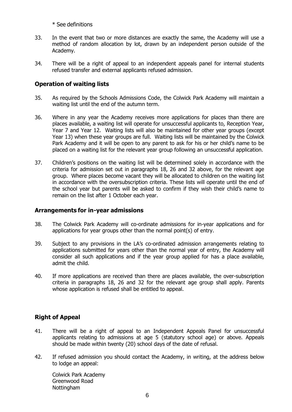\* See definitions

- 33. In the event that two or more distances are exactly the same, the Academy will use a method of random allocation by lot, drawn by an independent person outside of the Academy.
- 34. There will be a right of appeal to an independent appeals panel for internal students refused transfer and external applicants refused admission.

# **Operation of waiting lists**

- 35. As required by the Schools Admissions Code, the Colwick Park Academy will maintain a waiting list until the end of the autumn term.
- 36. Where in any year the Academy receives more applications for places than there are places available, a waiting list will operate for unsuccessful applicants to, Reception Year, Year 7 and Year 12. Waiting lists will also be maintained for other year groups (except Year 13) when these year groups are full. Waiting lists will be maintained by the Colwick Park Academy and it will be open to any parent to ask for his or her child's name to be placed on a waiting list for the relevant year group following an unsuccessful application.
- 37. Children's positions on the waiting list will be determined solely in accordance with the criteria for admission set out in paragraphs 18, 26 and 32 above, for the relevant age group. Where places become vacant they will be allocated to children on the waiting list in accordance with the oversubscription criteria. These lists will operate until the end of the school year but parents will be asked to confirm if they wish their child's name to remain on the list after 1 October each year.

#### **Arrangements for in-year admissions**

- 38. The Colwick Park Academy will co-ordinate admissions for in-year applications and for applications for year groups other than the normal point(s) of entry.
- 39. Subject to any provisions in the LA's co-ordinated admission arrangements relating to applications submitted for years other than the normal year of entry, the Academy will consider all such applications and if the year group applied for has a place available, admit the child.
- 40. If more applications are received than there are places available, the over-subscription criteria in paragraphs 18, 26 and 32 for the relevant age group shall apply. Parents whose application is refused shall be entitled to appeal.

# **Right of Appeal**

- 41. There will be a right of appeal to an Independent Appeals Panel for unsuccessful applicants relating to admissions at age 5 (statutory school age) or above. Appeals should be made within twenty (20) school days of the date of refusal.
- 42. If refused admission you should contact the Academy, in writing, at the address below to lodge an appeal:

Colwick Park Academy Greenwood Road Nottingham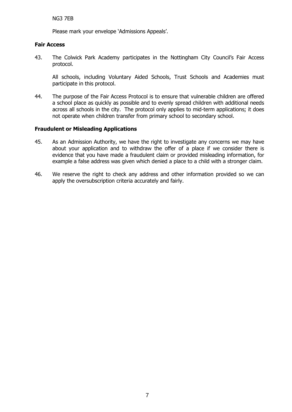Please mark your envelope 'Admissions Appeals'.

#### **Fair Access**

43. The Colwick Park Academy participates in the Nottingham City Council's Fair Access protocol.

All schools, including Voluntary Aided Schools, Trust Schools and Academies must participate in this protocol.

44. The purpose of the Fair Access Protocol is to ensure that vulnerable children are offered a school place as quickly as possible and to evenly spread children with additional needs across all schools in the city. The protocol only applies to mid-term applications; it does not operate when children transfer from primary school to secondary school.

#### **Fraudulent or Misleading Applications**

- 45. As an Admission Authority, we have the right to investigate any concerns we may have about your application and to withdraw the offer of a place if we consider there is evidence that you have made a fraudulent claim or provided misleading information, for example a false address was given which denied a place to a child with a stronger claim.
- 46. We reserve the right to check any address and other information provided so we can apply the oversubscription criteria accurately and fairly.